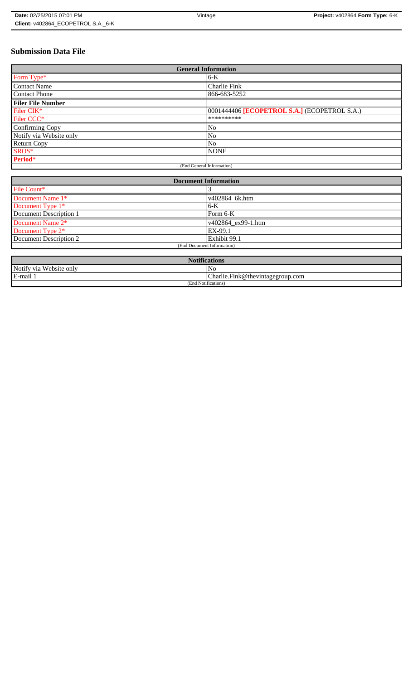# **Submission Data File**

| <b>General Information</b> |                                              |
|----------------------------|----------------------------------------------|
| Form Type*                 | 6-K                                          |
| <b>Contact Name</b>        | Charlie Fink                                 |
| <b>Contact Phone</b>       | 866-683-5252                                 |
| <b>Filer File Number</b>   |                                              |
| Filer CIK*                 | 0001444406 [ECOPETROL S.A.] (ECOPETROL S.A.) |
| Filer CCC <sup>*</sup>     | **********                                   |
| Confirming Copy            | N <sub>o</sub>                               |
| Notify via Website only    | N <sub>0</sub>                               |
| <b>Return Copy</b>         | N <sub>o</sub>                               |
| SROS*                      | <b>NONE</b>                                  |
| Period*                    |                                              |
| (End General Information)  |                                              |

| <b>Document Information</b>  |                    |
|------------------------------|--------------------|
| File Count*                  |                    |
| Document Name 1*             | v402864 6k.htm     |
| Document Type 1 <sup>*</sup> | $6-K$              |
| Document Description 1       | Form $6-K$         |
| Document Name 2*             | v402864 ex99-1.htm |
| Document Type 2*             | EX-99.1            |
| Document Description 2       | Exhibit 99.1       |
| (End Document Information)   |                    |
|                              |                    |

| <b>Notifications</b>         |                                              |
|------------------------------|----------------------------------------------|
| Notify via<br>u Website only | No                                           |
| E-mail                       | $ {\rm Charlie.Fink@}$ the vintage group.com |
| (End Notifications)          |                                              |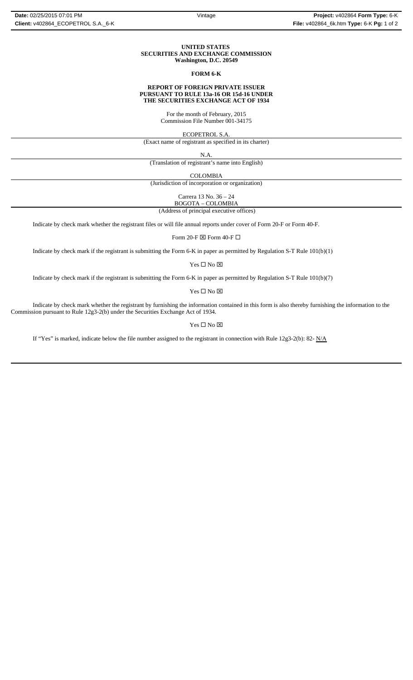### **UNITED STATES SECURITIES AND EXCHANGE COMMISSION Washington, D.C. 20549**

## **FORM 6-K**

### **REPORT OF FOREIGN PRIVATE ISSUER PURSUANT TO RULE 13a-16 OR 15d-16 UNDER THE SECURITIES EXCHANGE ACT OF 1934**

For the month of February, 2015 Commission File Number 001-34175

ECOPETROL S.A.

(Exact name of registrant as specified in its charter)

N.A.

(Translation of registrant's name into English)

COLOMBIA

(Jurisdiction of incorporation or organization)

Carrera 13 No. 36 – 24

BOGOTA – COLOMBIA

(Address of principal executive offices)

Indicate by check mark whether the registrant files or will file annual reports under cover of Form 20-F or Form 40-F.

Form 20-F  $\boxtimes$  Form 40-F  $\Box$ 

Indicate by check mark if the registrant is submitting the Form 6-K in paper as permitted by Regulation S-T Rule 101(b)(1)

Yes $\square$  No  $\square$ 

Indicate by check mark if the registrant is submitting the Form 6-K in paper as permitted by Regulation S-T Rule 101(b)(7)

Yes □ No ⊠

Indicate by check mark whether the registrant by furnishing the information contained in this form is also thereby furnishing the information to the Commission pursuant to Rule 12g3-2(b) under the Securities Exchange Act of 1934.

 $\mathbf{Yes} \ \square \ \mathbf{No} \ \boxtimes$ 

If "Yes" is marked, indicate below the file number assigned to the registrant in connection with Rule 12g3-2(b): 82-  $N/A$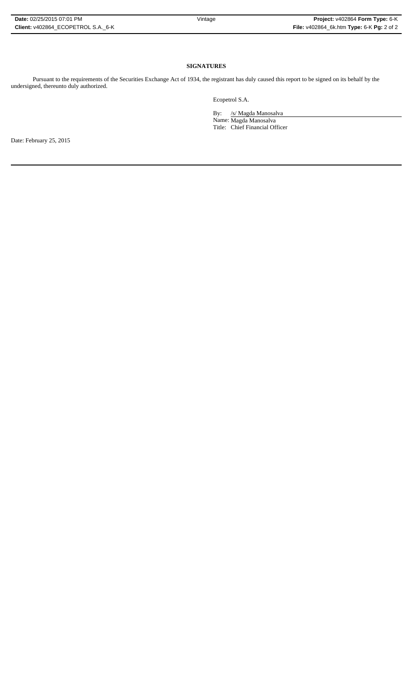## **SIGNATURES**

Pursuant to the requirements of the Securities Exchange Act of 1934, the registrant has duly caused this report to be signed on its behalf by the undersigned, thereunto duly authorized.

Ecopetrol S.A.

By: /s/ Magda Manosalva

Name: Magda Manosalva Title: Chief Financial Officer

Date: February 25, 2015